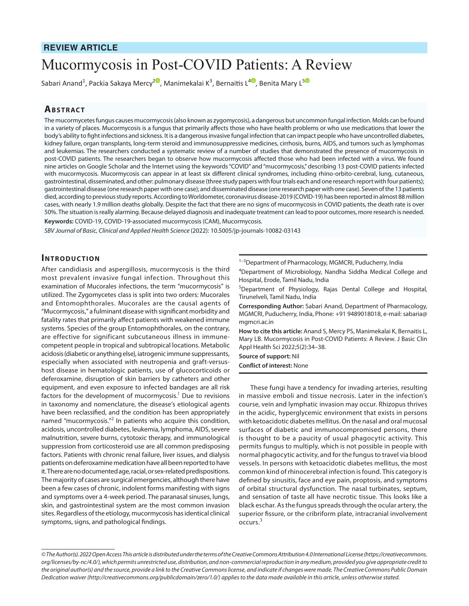## **REVIEW ARTICLE**

# Mucormycosis in Post-COVID Patients: A Review

Sabari Anand<sup>1</sup>, Packia Sakaya Mercy<sup>[2](https://orcid.org/0000-0002-0761-1934)©</sup>[,](https://orcid.org/0000-0003-0192-3467) Manimekalai K<sup>3</sup>, Bernaitis L<sup>4©</sup>, Benita Mary L<sup>[5](https://orcid.org/0000-0002-6490-9702)</sup>

## **ABSTRACT**

The mucormycetes fungus causes mucormycosis (also known as zygomycosis), a dangerous but uncommon fungal infection. Molds can be found in a variety of places. Mucormycosis is a fungus that primarily affects those who have health problems or who use medications that lower the body's ability to fight infections and sickness. It is a dangerous invasive fungal infection that can impact people who have uncontrolled diabetes, kidney failure, organ transplants, long-term steroid and immunosuppressive medicines, cirrhosis, burns, AIDS, and tumors such as lymphomas and leukemias. The researchers conducted a systematic review of a number of studies that demonstrated the presence of mucormycosis in post-COVID patients. The researchers began to observe how mucormycosis affected those who had been infected with a virus. We found nine articles on Google Scholar and the Internet using the keywords "COVID" and "mucormycosis," describing 13 post-COVID patients infected with mucormycosis. Mucormycosis can appear in at least six different clinical syndromes, including rhino-orbito-cerebral, lung, cutaneous, gastrointestinal, disseminated, and other: pulmonary disease (three study papers with four trials each and one research report with four patients); gastrointestinal disease (one research paper with one case); and disseminated disease (one research paper with one case). Seven of the 13 patients died, according to previous study reports. According to Worldometer, coronavirus disease-2019 (COVID-19) has been reported in almost 88 million cases, with nearly 1.9 million deaths globally. Despite the fact that there are no signs of mucormycosis in COVID patients, the death rate is over 50%. The situation is really alarming. Because delayed diagnosis and inadequate treatment can lead to poor outcomes, more research is needed. **Keywords:** COVID-19, COVID-19-associated mucormycosis (CAM), Mucormycosis.

*SBV Journal of Basic, Clinical and Applied Health Science* (2022): 10.5005/jp-journals-10082-03143

#### **INTRODUCTION**

After candidiasis and aspergillosis, mucormycosis is the third most prevalent invasive fungal infection. Throughout this examination of Mucorales infections, the term "mucormycosis" is utilized. The Zygomycetes class is split into two orders: Mucorales and Entomophthorales. Mucorales are the causal agents of "Mucormycosis," a fulminant disease with significant morbidity and fatality rates that primarily affect patients with weakened immune systems. Species of the group Entomophthorales, on the contrary, are effective for significant subcutaneous illness in immunecompetent people in tropical and subtropical locations. Metabolic acidosis (diabetic or anything else), iatrogenic immune suppressants, especially when associated with neutropenia and graft-versushost disease in hematologic patients, use of glucocorticoids or deferoxamine, disruption of skin barriers by catheters and other equipment, and even exposure to infected bandages are all risk factors for the development of mucormycosis.<sup>1</sup> Due to revisions in taxonomy and nomenclature, the disease's etiological agents have been reclassified, and the condition has been appropriately named "mucormycosis."<sup>2</sup> In patients who acquire this condition, acidosis, uncontrolled diabetes, leukemia, lymphoma, AIDS, severe malnutrition, severe burns, cytotoxic therapy, and immunological suppression from corticosteroid use are all common predisposing factors. Patients with chronic renal failure, liver issues, and dialysis patients on deferoxamine medication have all been reported to have it. There are no documented age, racial, or sex-related predispositions. The majority of cases are surgical emergencies, although there have been a few cases of chronic, indolent forms manifesting with signs and symptoms over a 4-week period. The paranasal sinuses, lungs, skin, and gastrointestinal system are the most common invasion sites. Regardless of the etiology, mucormycosis has identical clinical symptoms, signs, and pathological findings.

<sup>1-3</sup>Department of Pharmacology, MGMCRI, Puducherry, India

4 Department of Microbiology, Nandha Siddha Medical College and Hospital, Erode, Tamil Nadu, India

<sup>5</sup>Department of Physiology, Rajas Dental College and Hospital, Tirunelveli, Tamil Nadu, India

**Corresponding Author:** Sabari Anand, Department of Pharmacology, MGMCRI, Puducherry, India, Phone: +91 9489018018, e-mail: sabaria@ mgmcri.ac.in

**How to cite this article:** Anand S, Mercy PS, Manimekalai K, Bernaitis L, Mary LB. Mucormycosis in Post-COVID Patients: A Review. J Basic Clin Appl Health Sci 2022;5(2):34–38.

**Source of support:** Nil **Conflict of interest:** None

These fungi have a tendency for invading arteries, resulting in massive emboli and tissue necrosis. Later in the infection's course, vein and lymphatic invasion may occur. Rhizopus thrives in the acidic, hyperglycemic environment that exists in persons with ketoacidotic diabetes mellitus. On the nasal and oral mucosal surfaces of diabetic and immunocompromised persons, there is thought to be a paucity of usual phagocytic activity. This permits fungus to multiply, which is not possible in people with normal phagocytic activity, and for the fungus to travel via blood vessels. In persons with ketoacidotic diabetes mellitus, the most common kind of rhinocerebral infection is found. This category is defined by sinusitis, face and eye pain, proptosis, and symptoms of orbital structural dysfunction. The nasal turbinates, septum, and sensation of taste all have necrotic tissue. This looks like a black eschar. As the fungus spreads through the ocular artery, the superior fissure, or the cribriform plate, intracranial involvement occurs.<sup>[3](#page-4-2)</sup>

*<sup>©</sup> The Author(s). 2022 Open Access This article is distributed under the terms of the Creative Commons Attribution 4.0 International License [\(https://creativecommons.](https://creativecommons.org/licenses/by-nc/4.0/) [org/licenses/by-nc/4.0/](https://creativecommons.org/licenses/by-nc/4.0/)), which permits unrestricted use, distribution, and non-commercial reproduction in any medium, provided you give appropriate credit to the original author(s) and the source, provide a link to the Creative Commons license, and indicate if changes were made. The Creative Commons Public Domain Dedication waiver [\(http://creativecommons.org/publicdomain/zero/1.0/\)](http://creativecommons.org/publicdomain/zero/1.0/) applies to the data made available in this article, unless otherwise stated.*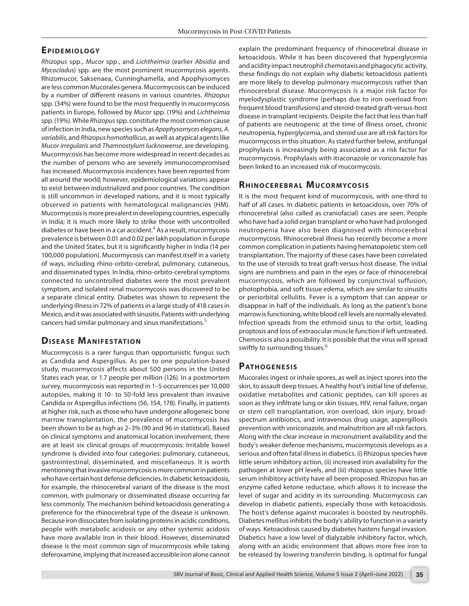# **Epidemio lo g y**

*Rhizopus* spp., *Mucor* spp., and *Lichtheimia* (earlier *Absidia* and *Mycocladus*) spp. are the most prominent mucormycosis agents. Rhizomucor, Saksenaea, Cunninghamella, and Apophysomyces are less common Mucorales genera. Mucormycosis can be induced by a number of different reasons in various countries. *Rhizopus* spp. (34%) were found to be the most frequently in mucormycosis patients in Europe, followed by *Mucor* spp. (19%) and *Lichtheimia* spp. (19%). While *Rhizopus* spp. constitute the most common cause of infection in India, new species such as *Apophysomyces elegans*, *A. variabilis*, and *Rhizopus homothallicus*, as well as atypical agents like *Mucor irregularis* and *Thamnostylum lucknowense*, are developing. Mucormycosis has become more widespread in recent decades as the number of persons who are severely immunocompromised has increased. Mucormycosis incidences have been reported from all around the world; however, epidemiological variations appear to exist between industrialized and poor countries. The condition is still uncommon in developed nations, and it is most typically observed in patients with hematological malignancies (HM). Mucormycosis is more prevalent in developing countries, especially in India; it is much more likely to strike those with uncontrolled diabetes or have been in a car accident.<sup>[4](#page-4-3)</sup> As a result, mucormycosis prevalence is between 0.01 and 0.02 per lakh population in Europe and the United States, but it is significantly higher in India (14 per 100,000 population). Mucormycosis can manifest itself in a variety of ways, including rhino-orbito-cerebral, pulmonary, cutaneous, and disseminated types. In India, rhino-orbito-cerebral symptoms connected to uncontrolled diabetes were the most prevalent symptom, and isolated renal mucormycosis was discovered to be a separate clinical entity. Diabetes was shown to represent the underlying illness in 72% of patients in a large study of 418 cases in Mexico, and it was associated with sinusitis. Patients with underlying cancers had similar pulmonary and sinus manifestations.[5](#page-4-4)

# **DISEASE MANIFESTATION**

Mucormycosis is a rarer fungus than opportunistic fungus such as Candida and Aspergillus. As per to one population-based study, mucormycosis affects about 500 persons in the United States each year, or 1.7 people per million (126). In a postmortem survey, mucormycosis was reported in 1–5 occurrences per 10,000 autopsies, making it 10- to 50-fold less prevalent than invasive Candida or Aspergillus infections (56, 154, 178). Finally, in patients at higher risk, such as those who have undergone allogeneic bone marrow transplantation, the prevalence of mucormycosis has been shown to be as high as 2–3% (90 and 96 in statistical). Based on clinical symptoms and anatomical location involvement, there are at least six clinical groups of mucormycosis: Irritable bowel syndrome is divided into four categories: pulmonary, cutaneous, gastrointestinal, disseminated, and miscellaneous. It is worth mentioning that invasive mucormycosis is more common in patients who have certain host defense deficiencies. In diabetic ketoacidosis, for example, the rhinocerebral variant of the disease is the most common, with pulmonary or disseminated disease occurring far less commonly. The mechanism behind ketoacidosis generating a preference for the rhinocerebral type of the disease is unknown. Because iron dissociates from isolating proteins in acidic conditions, people with metabolic acidosis or any other systemic acidosis have more available iron in their blood. However, disseminated disease is the most common sign of mucormycosis while taking deferoxamine, implying that increased accessible iron alone cannot

explain the predominant frequency of rhinocerebral disease in ketoacidosis. While it has been discovered that hyperglycemia and acidity impact neutrophil chemotaxis and phagocytic activity, these findings do not explain why diabetic ketoacidosis patients are more likely to develop pulmonary mucormycosis rather than rhinocerebral disease. Mucormycosis is a major risk factor for myelodysplastic syndrome (perhaps due to iron overload from frequent blood transfusions) and steroid-treated graft-versus-host disease in transplant recipients. Despite the fact that less than half of patients are neutropenic at the time of illness onset, chronic neutropenia, hyperglycemia, and steroid use are all risk factors for mucormycosis in this situation. As stated further below, antifungal prophylaxis is increasingly being associated as a risk factor for mucormycosis. Prophylaxis with itraconazole or voriconazole has been linked to an increased risk of mucormycosis.

# **RHINOCEREBRAL MUCORMYCOSIS**

It is the most frequent kind of mucormycosis, with one-third to half of all cases. In diabetic patients in ketoacidosis, over 70% of rhinocerebral (also called as craniofacial) cases are seen. People who have had a solid organ transplant or who have had prolonged neutropenia have also been diagnosed with rhinocerebral mucormycosis. Rhinocerebral illness has recently become a more common complication in patients having hematopoietic stem cell transplantation. The majority of these cases have been correlated to the use of steroids to treat graft-versus-host disease. The initial signs are numbness and pain in the eyes or face of rhinocerebral mucormycosis, which are followed by conjunctival suffusion, photophobia, and soft tissue edema, which are similar to sinusitis or periorbital cellulitis. Fever is a symptom that can appear or disappear in half of the individuals. As long as the patient's bone marrow is functioning, white blood cell levels are normally elevated. Infection spreads from the ethmoid sinus to the orbit, leading proptosis and loss of extraocular muscle function if left untreated. Chemosis is also a possibility. It is possible that the virus will spread swiftly to surrounding tissues.<sup>[6](#page-4-5)</sup>

# PATHOGENESIS

Mucorales ingest or inhale spores, as well as inject spores into the skin, to assault deep tissues. A healthy host's initial line of defense, oxidative metabolites and cationic peptides, can kill spores as soon as they infiltrate lung or skin tissues. HIV, renal failure, organ or stem cell transplantation, iron overload, skin injury, broadspectrum antibiotics, and intravenous drug usage, aspergillosis prevention with voriconazole, and malnutrition are all risk factors. Along with the clear increase in micronutrient availability and the body's weaker defense mechanisms, mucormycosis develops as a serious and often fatal illness in diabetics. (i) Rhizopus species have little serum inhibitory action, (ii) increased iron availability for the pathogen at lower pH levels, and (iii) rhizopus species have little serum inhibitory activity have all been proposed. Rhizopus has an enzyme called ketone reductase, which allows it to increase the level of sugar and acidity in its surrounding. Mucormycosis can develop in diabetic patients, especially those with ketoacidosis. The host's defense against mucorales is boosted by neutrophils. Diabetes mellitus inhibits the body's ability to function in a variety of ways. Ketoacidosis caused by diabetes hastens fungal invasion. Diabetics have a low level of dialyzable inhibitory factor, which, along with an acidic environment that allows more free iron to be released by lowering transferrin binding, is optimal for fungal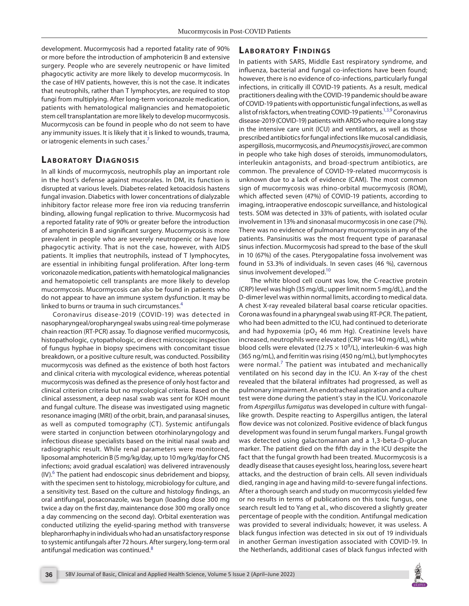development. Mucormycosis had a reported fatality rate of 90% or more before the introduction of amphotericin B and extensive surgery. People who are severely neutropenic or have limited phagocytic activity are more likely to develop mucormycosis. In the case of HIV patients, however, this is not the case. It indicates that neutrophils, rather than T lymphocytes, are required to stop fungi from multiplying. After long-term voriconazole medication, patients with hematological malignancies and hematopoietic stem cell transplantation are more likely to develop mucormycosis. Mucormycosis can be found in people who do not seem to have any immunity issues. It is likely that it is linked to wounds, trauma, or iatrogenic elements in such cases.<sup>[7](#page-4-6)</sup>

## **LABORATORY DIAGNOSIS**

In all kinds of mucormycosis, neutrophils play an important role in the host's defense against mucorales. In DM, its function is disrupted at various levels. Diabetes-related ketoacidosis hastens fungal invasion. Diabetics with lower concentrations of dialyzable inhibitory factor release more free iron via reducing transferrin binding, allowing fungal replication to thrive. Mucormycosis had a reported fatality rate of 90% or greater before the introduction of amphotericin B and significant surgery. Mucormycosis is more prevalent in people who are severely neutropenic or have low phagocytic activity. That is not the case, however, with AIDS patients. It implies that neutrophils, instead of T lymphocytes, are essential in inhibiting fungal proliferation. After long-term voriconazole medication, patients with hematological malignancies and hematopoietic cell transplants are more likely to develop mucormycosis. Mucormycosis can also be found in patients who do not appear to have an immune system dysfunction. It may be linked to burns or trauma in such circumstances.<sup>[4](#page-4-3)</sup>

Coronavirus disease-2019 (COVID-19) was detected in nasopharyngeal/oropharyngeal swabs using real-time polymerase chain reaction (RT-PCR) assay. To diagnose verified mucormycosis, histopathologic, cytopathologic, or direct microscopic inspection of fungus hyphae in biopsy specimens with concomitant tissue breakdown, or a positive culture result, was conducted. Possibility mucormycosis was defined as the existence of both host factors and clinical criteria with mycological evidence, whereas potential mucormycosis was defined as the presence of only host factor and clinical criterion criteria but no mycological criteria. Based on the clinical assessment, a deep nasal swab was sent for KOH mount and fungal culture. The disease was investigated using magnetic resonance imaging (MRI) of the orbit, brain, and paranasal sinuses, as well as computed tomography (CT). Systemic antifungals were started in conjunction between otorhinolaryngology and infectious disease specialists based on the initial nasal swab and radiographic result. While renal parameters were monitored, liposomal amphotericin B (5 mg/kg/day, up to 10 mg/kg/day for CNS infections; avoid gradual escalation) was delivered intravenously  $(IV).<sup>6</sup>$  $(IV).<sup>6</sup>$  $(IV).<sup>6</sup>$  The patient had endoscopic sinus debridement and biopsy, with the specimen sent to histology, microbiology for culture, and a sensitivity test. Based on the culture and histology findings, an oral antifungal, posaconazole, was begun (loading dose 300 mg twice a day on the first day, maintenance dose 300 mg orally once a day commencing on the second day). Orbital exenteration was conducted utilizing the eyelid-sparing method with transverse blepharorrhaphy in individuals who had an unsatisfactory response to systemic antifungals after 72 hours. After surgery, long-term oral antifungal medication was continued.<sup>[8](#page-4-7)</sup>

## **LABORATORY FINDINGS**

In patients with SARS, Middle East respiratory syndrome, and influenza, bacterial and fungal co-infections have been found; however, there is no evidence of co-infections, particularly fungal infections, in critically ill COVID-19 patients. As a result, medical practitioners dealing with the COVID-19 pandemic should be aware of COVID-19 patients with opportunistic fungal infections, as well as a list of risk factors, when treating COVID-19 patients.<sup>1,[3](#page-4-2)[,9](#page-4-8)</sup> Coronavirus disease-2019 (COVID-19) patients with ARDS who require a long stay in the intensive care unit (ICU) and ventilators, as well as those prescribed antibiotics for fungal infections like mucosal candidiasis, aspergillosis, mucormycosis, and *Pneumocystis jiroveci*, are common in people who take high doses of steroids, immunomodulators, interleukin antagonists, and broad-spectrum antibiotics, are common. The prevalence of COVID-19-related mucormycosis is unknown due to a lack of evidence (CAM). The most common sign of mucormycosis was rhino-orbital mucormycosis (ROM), which affected seven (47%) of COVID-19 patients, according to imaging, intraoperative endoscopic surveillance, and histological tests. SOM was detected in 33% of patients, with isolated ocular involvement in 13% and sinonasal mucormycosis in one case (7%). There was no evidence of pulmonary mucormycosis in any of the patients. Pansinusitis was the most frequent type of paranasal sinus infection. Mucormycosis had spread to the base of the skull in 10 (67%) of the cases. Pterygopalatine fossa involvement was found in 53.3% of individuals. In seven cases (46 %), cavernous sinus involvement developed.<sup>10</sup>

The white blood cell count was low, the C-reactive protein (CRP) level was high (35 mg/dL; upper limit norm 5 mg/dL), and the D-dimer level was within normal limits, according to medical data. A chest X-ray revealed bilateral basal coarse reticular opacities. Corona was found in a pharyngeal swab using RT-PCR. The patient, who had been admitted to the ICU, had continued to deteriorate and had hypoxemia (pO<sub>2</sub> 46 mm Hg). Creatinine levels have increased, neutrophils were elevated (CRP was 140 mg/dL), white blood cells were elevated (12.75  $\times$  10<sup>9</sup>/L), interleukin-6 was high (365 ng/mL), and ferritin was rising (450 ng/mL), but lymphocytes were normal.<sup>[7](#page-4-6)</sup> The patient was intubated and mechanically ventilated on his second day in the ICU. An X-ray of the chest revealed that the bilateral infiltrates had progressed, as well as pulmonary impairment. An endotracheal aspiration and a culture test were done during the patient's stay in the ICU. Voriconazole from *Aspergillus fumigatus* was developed in culture with fungallike growth. Despite reacting to Aspergillus antigen, the lateral flow device was not colonized. Positive evidence of black fungus development was found in serum fungal markers. Fungal growth was detected using galactomannan and a 1,3-beta-D-glucan marker. The patient died on the fifth day in the ICU despite the fact that the fungal growth had been treated. Mucormycosis is a deadly disease that causes eyesight loss, hearing loss, severe heart attacks, and the destruction of brain cells. All seven individuals died, ranging in age and having mild-to-severe fungal infections. After a thorough search and study on mucormycosis yielded few or no results in terms of publications on this toxic fungus, one search result led to Yang et al., who discovered a slightly greater percentage of people with the condition. Antifungal medication was provided to several individuals; however, it was useless. A black fungus infection was detected in six out of 19 individuals in another German investigation associated with COVID-19. In the Netherlands, additional cases of black fungus infected with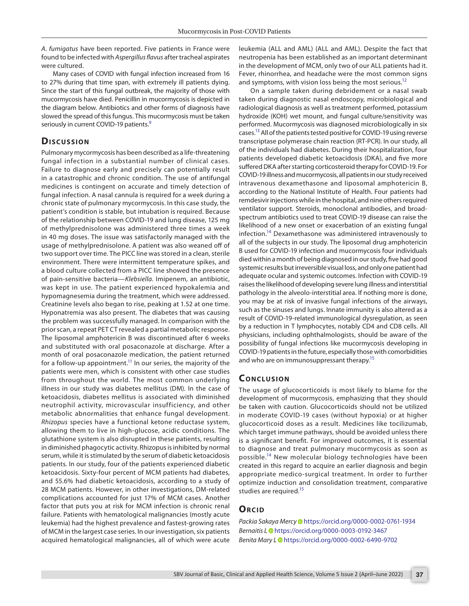*A. fumigatus* have been reported. Five patients in France were found to be infected with *Aspergillus flavus* after tracheal aspirates were cultured.

Many cases of COVID with fungal infection increased from 16 to 27% during that time span, with extremely ill patients dying. Since the start of this fungal outbreak, the majority of those with mucormycosis have died. Penicillin in mucormycosis is depicted in the diagram below. Antibiotics and other forms of diagnosis have slowed the spread of this fungus. This mucormycosis must be taken seriously in current COVID-19 patients.<sup>9</sup>

#### **Discussion**

Pulmonary mycormycosis has been described as a life-threatening fungal infection in a substantial number of clinical cases. Failure to diagnose early and precisely can potentially result in a catastrophic and chronic condition. The use of antifungal medicines is contingent on accurate and timely detection of fungal infection. A nasal cannula is required for a week during a chronic state of pulmonary mycormycosis. In this case study, the patient's condition is stable, but intubation is required. Because of the relationship between COVID-19 and lung disease, 125 mg of methylprednisolone was administered three times a week in 40 mg doses. The issue was satisfactorily managed with the usage of methylprednisolone. A patient was also weaned off of two support over time. The PICC line was stored in a clean, sterile environment. There were intermittent temperature spikes, and a blood culture collected from a PICC line showed the presence of pain-sensitive bacteria—*Klebsiella*. Imipenem, an antibiotic, was kept in use. The patient experienced hypokalemia and hypomagnesemia during the treatment, which were addressed. Creatinine levels also began to rise, peaking at 1.52 at one time. Hyponatremia was also present. The diabetes that was causing the problem was successfully managed. In comparison with the prior scan, a repeat PET CT revealed a partial metabolic response. The liposomal amphotericin B was discontinued after 6 weeks and substituted with oral posaconazole at discharge. After a month of oral posaconazole medication, the patient returned for a follow-up appointment.<sup>11</sup> In our series, the majority of the patients were men, which is consistent with other case studies from throughout the world. The most common underlying illness in our study was diabetes mellitus (DM). In the case of ketoacidosis, diabetes mellitus is associated with diminished neutrophil activity, microvascular insufficiency, and other metabolic abnormalities that enhance fungal development. *Rhizopus* species have a functional ketone reductase system, allowing them to live in high-glucose, acidic conditions. The glutathione system is also disrupted in these patients, resulting in diminished phagocytic activity. Rhizopus is inhibited by normal serum, while it is stimulated by the serum of diabetic ketoacidosis patients. In our study, four of the patients experienced diabetic ketoacidosis. Sixty-four percent of MCM patients had diabetes, and 55.6% had diabetic ketoacidosis, according to a study of 28 MCM patients. However, in other investigations, DM-related complications accounted for just 17% of MCM cases. Another factor that puts you at risk for MCM infection is chronic renal failure. Patients with hematological malignancies (mostly acute leukemia) had the highest prevalence and fastest-growing rates of MCM in the largest case series. In our investigation, six patients acquired hematological malignancies, all of which were acute

leukemia (ALL and AML) (ALL and AML). Despite the fact that neutropenia has been established as an important determinant in the development of MCM, only two of our ALL patients had it. Fever, rhinorrhea, and headache were the most common signs and symptoms, with vision loss being the most serious.<sup>12</sup>

On a sample taken during debridement or a nasal swab taken during diagnostic nasal endoscopy, microbiological and radiological diagnosis as well as treatment performed, potassium hydroxide (KOH) wet mount, and fungal culture/sensitivity was performed. Mucormycosis was diagnosed microbiologically in six cases.<sup>13</sup> All of the patients tested positive for COVID-19 using reverse transcriptase polymerase chain reaction (RT-PCR). In our study, all of the individuals had diabetes. During their hospitalization, four patients developed diabetic ketoacidosis (DKA), and five more suffered DKA after starting corticosteroid therapy for COVID-19. For COVID-19 illness and mucormycosis, all patients in our study received intravenous dexamethasone and liposomal amphotericin B, according to the National Institute of Health. Four patients had remdesivir injections while in the hospital, and nine others required ventilator support. Steroids, monoclonal antibodies, and broadspectrum antibiotics used to treat COVID-19 disease can raise the likelihood of a new onset or exacerbation of an existing fungal infection.<sup>14</sup> Dexamethasone was administered intravenously to all of the subjects in our study. The liposomal drug amphotericin B used for COVID-19 infection and mucormycosis four individuals died within a month of being diagnosed in our study, five had good systemic results but irreversible visual loss, and only one patient had adequate ocular and systemic outcomes. Infection with COVID-19 raises the likelihood of developing severe lung illness and interstitial pathology in the alveolo-interstitial area. If nothing more is done, you may be at risk of invasive fungal infections of the airways, such as the sinuses and lungs. Innate immunity is also altered as a result of COVID-19-related immunological dysregulation, as seen by a reduction in T lymphocytes, notably CD4 and CD8 cells. All physicians, including ophthalmologists, should be aware of the possibility of fungal infections like mucormycosis developing in COVID-19 patients in the future, especially those with comorbidities and who are on immunosuppressant therapy.<sup>15</sup>

#### **CONCLUSION**

The usage of glucocorticoids is most likely to blame for the development of mucormycosis, emphasizing that they should be taken with caution. Glucocorticoids should not be utilized in moderate COVID-19 cases (without hypoxia) or at higher glucocorticoid doses as a result. Medicines like tocilizumab, which target immune pathways, should be avoided unless there is a significant benefit. For improved outcomes, it is essential to diagnose and treat pulmonary mucormycosis as soon as possible.<sup>14</sup> New molecular biology technologies have been created in this regard to acquire an earlier diagnosis and begin appropriate medico-surgical treatment. In order to further optimize induction and consolidation treatment, comparative studies are required.<sup>15</sup>

#### **ORCID**

*Packia Sakaya Merc[y](https://orcid.org/0000-0002-0761-1934)* https://orcid.org/0000-0002-0761-1934 *Bernaitis [L](https://orcid.org/0000-0003-0192-3467)* https://orcid.org/0000-0003-0192-3467 *Benita Mary [L](https://orcid.org/0000-0002-6490-9702)* https://orcid.org/0000-0002-6490-9702